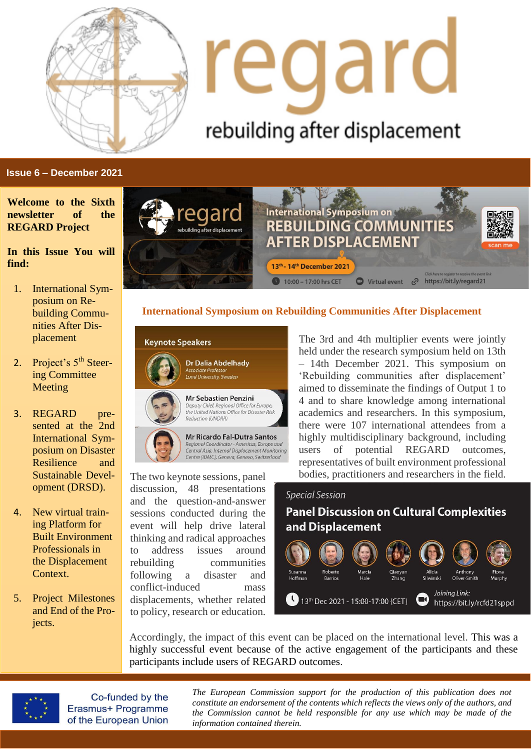

# regard rebuilding after displacement

#### **Issue 6 – December 2021**

**Welcome to the Sixth newsletter of the REGARD Project**

#### **In this Issue You will find:**

- 1. International Symposium on Rebuilding Communities After Displacement
- 2. Project's 5<sup>th</sup> Steering Committee Meeting
- 3. REGARD presented at the 2nd International Symposium on Disaster Resilience and Sustainable Development (DRSD).
- 4. New virtual training Platform for Built Environment Professionals in the Displacement Context.
- 5. Project Milestones and End of the Projects.



#### **International Symposium on Rebuilding Communities After Displacement**



The two keynote sessions, panel discussion, 48 presentations and the question-and-answer sessions conducted during the event will help drive lateral thinking and radical approaches to address issues around rebuilding communities following a disaster and conflict-induced mass displacements, whether related to policy, research or education.

The 3rd and 4th multiplier events were jointly held under the research symposium held on 13th – 14th December 2021. This symposium on 'Rebuilding communities after displacement' aimed to disseminate the findings of Output 1 to 4 and to share knowledge among international academics and researchers. In this symposium, there were 107 international attendees from a highly multidisciplinary background, including users of potential REGARD outcomes, representatives of built environment professional bodies, practitioners and researchers in the field.

#### **Special Session**

**Panel Discussion on Cultural Complexities** and Displacement



Accordingly, the impact of this event can be placed on the international level. This was a highly successful event because of the active engagement of the participants and these participants include users of REGARD outcomes.



Co-funded by the Erasmus+ Programme of the European Union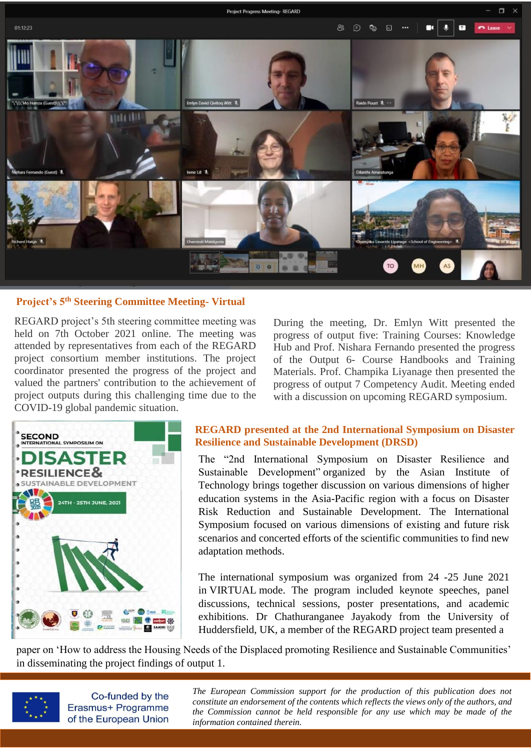

#### **Project's 5th Steering Committee Meeting- Virtual**

REGARD project's 5th steering committee meeting was held on 7th October 2021 online. The meeting was attended by representatives from each of the REGARD project consortium member institutions. The project coordinator presented the progress of the project and valued the partners' contribution to the achievement of project outputs during this challenging time due to the COVID-19 global pandemic situation.

During the meeting, Dr. Emlyn Witt presented the progress of output five: Training Courses: Knowledge Hub and Prof. Nishara Fernando presented the progress of the Output 6- Course Handbooks and Training Materials. Prof. Champika Liyanage then presented the progress of output 7 Competency Audit. Meeting ended with a discussion on upcoming REGARD symposium.



#### **REGARD presented at the 2nd International Symposium on Disaster Resilience and Sustainable Development (DRSD)**

The "2nd International Symposium on Disaster Resilience and Sustainable Development" organized by the Asian Institute of Technology brings together discussion on various dimensions of higher education systems in the Asia-Pacific region with a focus on Disaster Risk Reduction and Sustainable Development. The International Symposium focused on various dimensions of existing and future risk scenarios and concerted efforts of the scientific communities to find new adaptation methods.

The international symposium was organized from 24 -25 June 2021 in VIRTUAL mode. The program included keynote speeches, panel discussions, technical sessions, poster presentations, and academic exhibitions. Dr Chathuranganee Jayakody from the University of Huddersfield, UK, a member of the REGARD project team presented a

paper on 'How to address the Housing Needs of the Displaced promoting Resilience and Sustainable Communities' in disseminating the project findings of output 1.



Co-funded by the Erasmus+ Programme of the European Union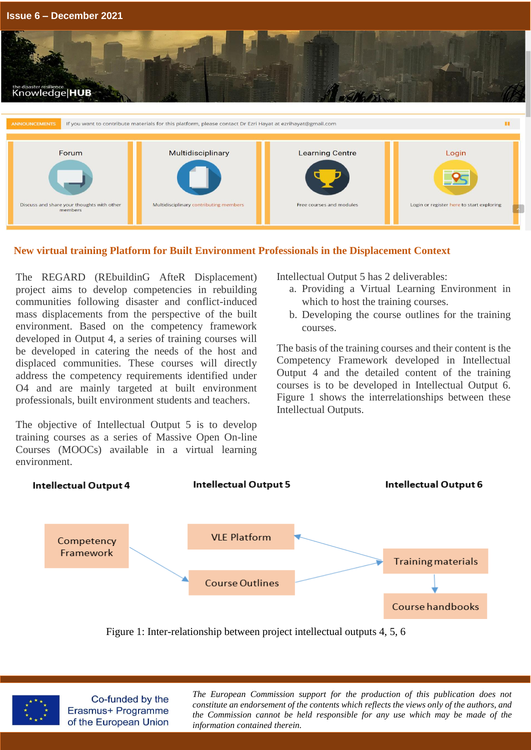

### **New virtual training Platform for Built Environment Professionals in the Displacement Context**

The REGARD (REbuildinG AfteR Displacement) project aims to develop competencies in rebuilding communities following disaster and conflict-induced mass displacements from the perspective of the built environment. Based on the competency framework developed in Output 4, a series of training courses will be developed in catering the needs of the host and displaced communities. These courses will directly address the competency requirements identified under O4 and are mainly targeted at built environment professionals, built environment students and teachers.

The objective of Intellectual Output 5 is to develop training courses as a series of Massive Open On-line Courses (MOOCs) available in a virtual learning environment.

Intellectual Output 5 has 2 deliverables:

- a. Providing a Virtual Learning Environment in which to host the training courses.
- b. Developing the course outlines for the training courses.

The basis of the training courses and their content is the Competency Framework developed in Intellectual Output 4 and the detailed content of the training courses is to be developed in Intellectual Output 6. Figure 1 shows the interrelationships between these Intellectual Outputs.



Figure 1: Inter-relationship between project intellectual outputs 4, 5, 6



Co-funded by the Erasmus+ Programme of the European Union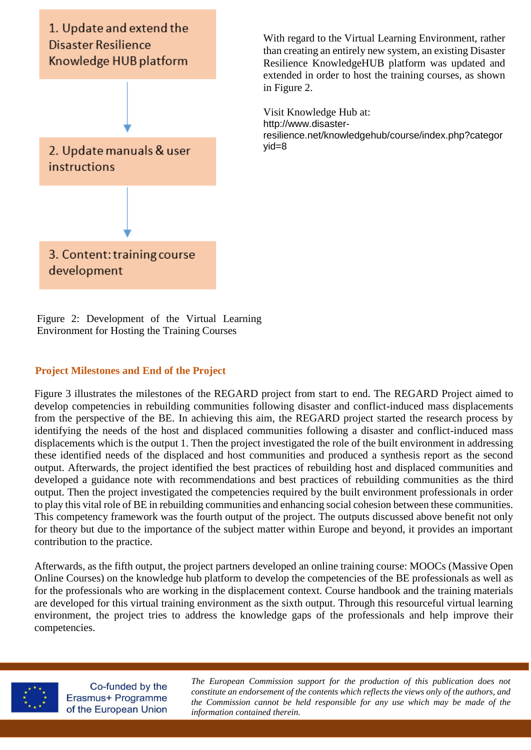

With regard to the Virtual Learning Environment, rather than creating an entirely new system, an existing Disaster Resilience KnowledgeHUB platform was updated and extended in order to host the training courses, as shown in Figure 2.

Visit Knowledge Hub at: [http://www.disaster](http://www.disaster-resilience.net/knowledgehub/course/index.php?categoryid=8)[resilience.net/knowledgehub/course/index.php?categor](http://www.disaster-resilience.net/knowledgehub/course/index.php?categoryid=8) [yid=8](http://www.disaster-resilience.net/knowledgehub/course/index.php?categoryid=8)

Figure 2: Development of the Virtual Learning Environment for Hosting the Training Courses

#### **Project Milestones and End of the Project**

Figure 3 illustrates the milestones of the REGARD project from start to end. The REGARD Project aimed to develop competencies in rebuilding communities following disaster and conflict-induced mass displacements from the perspective of the BE. In achieving this aim, the REGARD project started the research process by identifying the needs of the host and displaced communities following a disaster and conflict-induced mass displacements which is the output 1. Then the project investigated the role of the built environment in addressing these identified needs of the displaced and host communities and produced a synthesis report as the second output. Afterwards, the project identified the best practices of rebuilding host and displaced communities and developed a guidance note with recommendations and best practices of rebuilding communities as the third output. Then the project investigated the competencies required by the built environment professionals in order to play this vital role of BE in rebuilding communities and enhancing social cohesion between these communities. This competency framework was the fourth output of the project. The outputs discussed above benefit not only for theory but due to the importance of the subject matter within Europe and beyond, it provides an important contribution to the practice.

Afterwards, as the fifth output, the project partners developed an online training course: MOOCs (Massive Open Online Courses) on the knowledge hub platform to develop the competencies of the BE professionals as well as for the professionals who are working in the displacement context. Course handbook and the training materials are developed for this virtual training environment as the sixth output. Through this resourceful virtual learning environment, the project tries to address the knowledge gaps of the professionals and help improve their competencies.



Co-funded by the Erasmus+ Programme of the European Union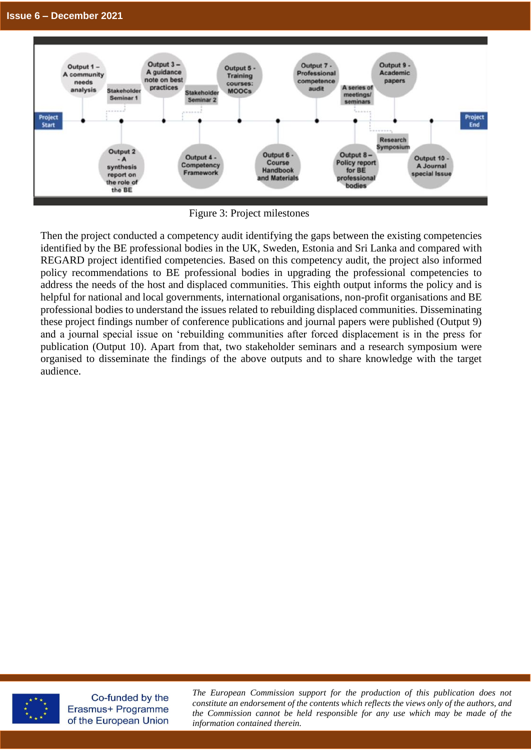

Figure 3: Project milestones

Then the project conducted a competency audit identifying the gaps between the existing competencies identified by the BE professional bodies in the UK, Sweden, Estonia and Sri Lanka and compared with REGARD project identified competencies. Based on this competency audit, the project also informed policy recommendations to BE professional bodies in upgrading the professional competencies to address the needs of the host and displaced communities. This eighth output informs the policy and is helpful for national and local governments, international organisations, non-profit organisations and BE professional bodies to understand the issues related to rebuilding displaced communities. Disseminating these project findings number of conference publications and journal papers were published (Output 9) and a journal special issue on 'rebuilding communities after forced displacement is in the press for publication (Output 10). Apart from that, two stakeholder seminars and a research symposium were organised to disseminate the findings of the above outputs and to share knowledge with the target audience.



Co-funded by the Erasmus+ Programme of the European Union